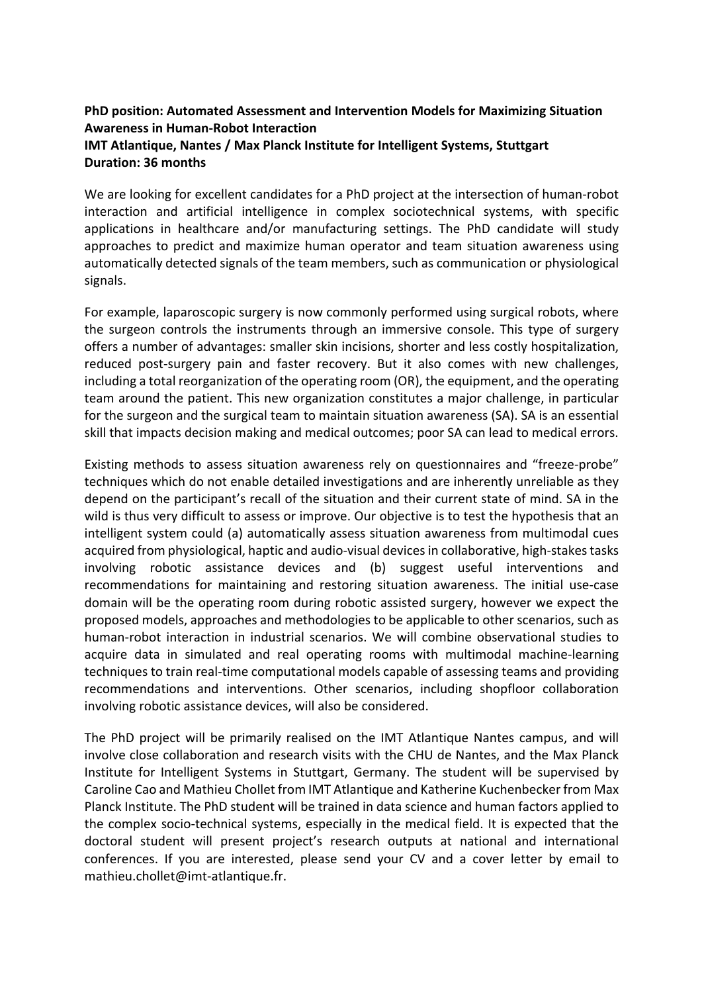## **PhD position: Automated Assessment and Intervention Models for Maximizing Situation Awareness in Human-Robot Interaction IMT Atlantique, Nantes / Max Planck Institute for Intelligent Systems, Stuttgart Duration: 36 months**

We are looking for excellent candidates for a PhD project at the intersection of human-robot interaction and artificial intelligence in complex sociotechnical systems, with specific applications in healthcare and/or manufacturing settings. The PhD candidate will study approaches to predict and maximize human operator and team situation awareness using automatically detected signals of the team members, such as communication or physiological signals.

For example, laparoscopic surgery is now commonly performed using surgical robots, where the surgeon controls the instruments through an immersive console. This type of surgery offers a number of advantages: smaller skin incisions, shorter and less costly hospitalization, reduced post-surgery pain and faster recovery. But it also comes with new challenges, including a total reorganization of the operating room (OR), the equipment, and the operating team around the patient. This new organization constitutes a major challenge, in particular for the surgeon and the surgical team to maintain situation awareness (SA). SA is an essential skill that impacts decision making and medical outcomes; poor SA can lead to medical errors.

Existing methods to assess situation awareness rely on questionnaires and "freeze-probe" techniques which do not enable detailed investigations and are inherently unreliable as they depend on the participant's recall of the situation and their current state of mind. SA in the wild is thus very difficult to assess or improve. Our objective is to test the hypothesis that an intelligent system could (a) automatically assess situation awareness from multimodal cues acquired from physiological, haptic and audio-visual devices in collaborative, high-stakes tasks involving robotic assistance devices and (b) suggest useful interventions and recommendations for maintaining and restoring situation awareness. The initial use-case domain will be the operating room during robotic assisted surgery, however we expect the proposed models, approaches and methodologies to be applicable to other scenarios, such as human-robot interaction in industrial scenarios. We will combine observational studies to acquire data in simulated and real operating rooms with multimodal machine-learning techniques to train real-time computational models capable of assessing teams and providing recommendations and interventions. Other scenarios, including shopfloor collaboration involving robotic assistance devices, will also be considered.

The PhD project will be primarily realised on the IMT Atlantique Nantes campus, and will involve close collaboration and research visits with the CHU de Nantes, and the Max Planck Institute for Intelligent Systems in Stuttgart, Germany. The student will be supervised by Caroline Cao and Mathieu Chollet from IMT Atlantique and Katherine Kuchenbecker from Max Planck Institute. The PhD student will be trained in data science and human factors applied to the complex socio-technical systems, especially in the medical field. It is expected that the doctoral student will present project's research outputs at national and international conferences. If you are interested, please send your CV and a cover letter by email to mathieu.chollet@imt-atlantique.fr.